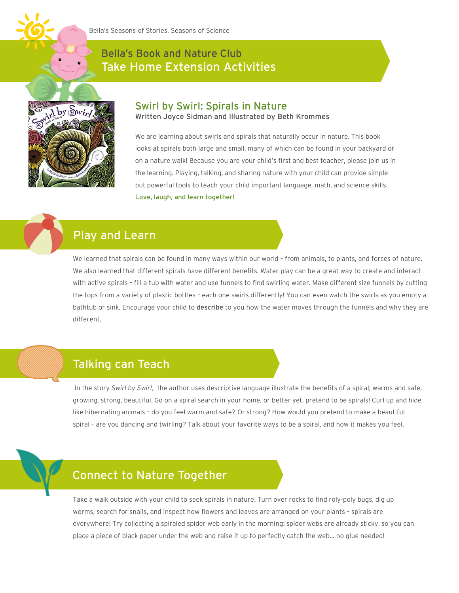

### Bella's Book and Nature Club Take Home Extension Activities



#### Swirl by Swirl: Spirals in Nature

Written Joyce Sidman and Illustrated by Beth Krommes

We are learning about swirls and spirals that naturally occur in nature. This book looks at spirals both large and small, many of which can be found in your backyard or on a nature walk! Because you are your child's first and best teacher, please join us in the learning. Playing, talking, and sharing nature with your child can provide simple but powerful tools to teach your child important language, math, and science skills. Love, laugh, and learn together!

# Play and Learn

We learned that spirals can be found in many ways within our world – from animals, to plants, and forces of nature. We also learned that different spirals have different benefits. Water play can be a great way to create and interact with active spirals – fill a tub with water and use funnels to find swirling water. Make different size funnels by cutting the tops from a variety of plastic bottles – each one swirls differently! You can even watch the swirls as you empty a bathtub or sink. Encourage your child to describe to you how the water moves through the funnels and why they are different.

# Talking can Teach

In the story *Swirl by Swirl*, the author uses descriptive language illustrate the benefits of a spiral; warms and safe, growing, strong, beautiful. Go on a spiral search in your home, or better yet, pretend to be spirals! Curl up and hide like hibernating animals – do you feel warm and safe? Or strong? How would you pretend to make a beautiful spiral – are you dancing and twirling? Talk about your favorite ways to be a spiral, and how it makes you feel.

## Connect to Nature Together

Take a walk outside with your child to seek spirals in nature. Turn over rocks to find roly-poly bugs, dig up worms, search for snails, and inspect how flowers and leaves are arranged on your plants – spirals are everywhere! Try collecting a spiraled spider web early in the morning: spider webs are already sticky, so you can place a piece of black paper under the web and raise it up to perfectly catch the web… no glue needed!